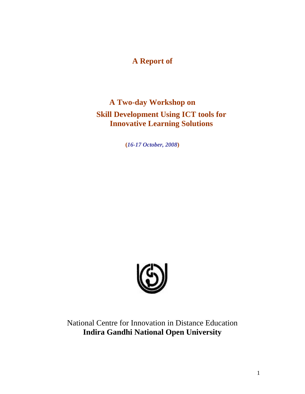# **A Report of**

# **A Two-day Workshop on Skill Development Using ICT tools for Innovative Learning Solutions**

**(***16-17 October, 2008***)**



National Centre for Innovation in Distance Education **Indira Gandhi National Open University**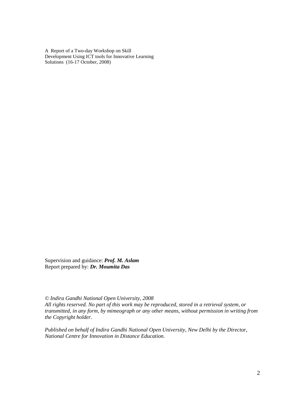A Report of a Two-day Workshop on Skill Development Using ICT tools for Innovative Learning Solutions (16-17 October, 2008)

Supervision and guidance: *Prof. M. Aslam* Report prepared by: *Dr. Moumita Das*

*© Indira Gandhi National Open University, 2008 All rights reserved. No part of this work may be reproduced, stored in a retrieval system, or transmitted, in any form, by mimeograph or any other means, without permission in writing from the Copyright holder.*

*Published on behalf of Indira Gandhi National Open University, New Delhi by the Director, National Centre for Innovation in Distance Education.*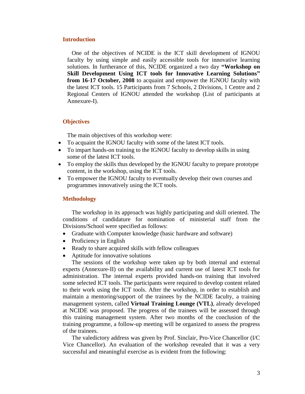#### **Introduction**

One of the objectives of NCIDE is the ICT skill development of IGNOU faculty by using simple and easily accessible tools for innovative learning solutions. In furtherance of this, NCIDE organized a two day **"Workshop on Skill Development Using ICT tools for Innovative Learning Solutions" from 16-17 October, 2008** to acquaint and empower the IGNOU faculty with the latest ICT tools. 15 Participants from 7 Schools, 2 Divisions, 1 Centre and 2 Regional Centers of IGNOU attended the workshop (List of participants at Annexure-I).

#### **Objectives**

The main objectives of this workshop were:

- To acquaint the IGNOU faculty with some of the latest ICT tools.
- To impart hands-on training to the IGNOU faculty to develop skills in using some of the latest ICT tools.
- To employ the skills thus developed by the IGNOU faculty to prepare prototype content, in the workshop, using the ICT tools.
- To empower the IGNOU faculty to eventually develop their own courses and programmes innovatively using the ICT tools.

#### **Methodology**

The workshop in its approach was highly participating and skill oriented. The conditions of candidature for nomination of ministerial staff from the Divisions/School were specified as follows:

- Graduate with Computer knowledge (basic hardware and software)
- Proficiency in English
- Ready to share acquired skills with fellow colleagues
- Aptitude for innovative solutions

The sessions of the workshop were taken up by both internal and external experts (Annexure-II) on the availability and current use of latest ICT tools for administration. The internal experts provided hands-on training that involved some selected ICT tools. The participants were required to develop content related to their work using the ICT tools. After the workshop, in order to establish and maintain a mentoring/support of the trainees by the NCIDE faculty, a training management system, called **Virtual Training Lounge (VTL)**, already developed at NCIDE was proposed. The progress of the trainees will be assessed through this training management system. After two months of the conclusion of the training programme, a follow-up meeting will be organized to assess the progress of the trainees.

The valedictory address was given by Prof. Sinclair, Pro-Vice Chancellor (I/C Vice Chancellor). An evaluation of the workshop revealed that it was a very successful and meaningful exercise as is evident from the following: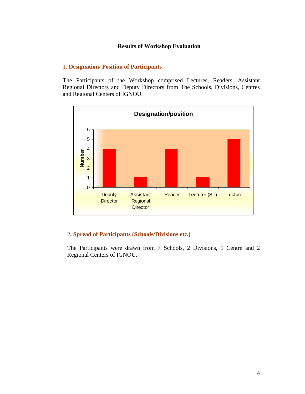#### **Results of Workshop Evaluation**

#### 1. **Designation/ Position of Participants**

The Participants of the Workshop comprised Lectures, Readers, Assistant Regional Directors and Deputy Directors from The Schools, Divisions, Centres and Regional Centers of IGNOU.



### 2**. Spread of Participants** (**Schools/Divisions etc.)**

The Participants were drawn from 7 Schools, 2 Divisions, 1 Centre and 2 Regional Centers of IGNOU.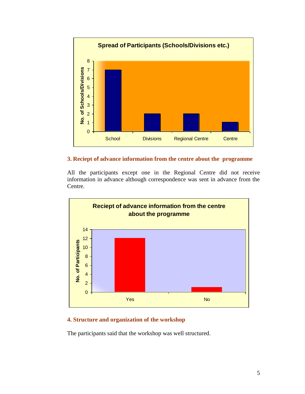

#### **3. Reciept of advance information from the centre about the programme**

All the participants except one in the Regional Centre did not receive information in advance although correspondence was sent in advance from the Centre.



### **4. Structure and organization of the workshop**

The participants said that the workshop was well structured.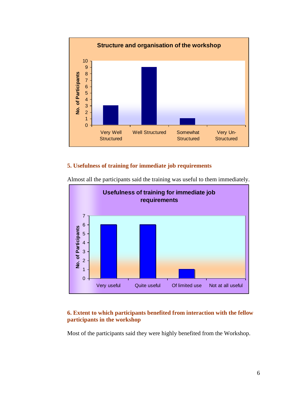

### **5. Usefulness of training for immediate job requirements**



Almost all the participants said the training was useful to them immediately.

#### **6. Extent to which participants benefited from interaction with the fellow participants in the workshop**

Most of the participants said they were highly benefited from the Workshop.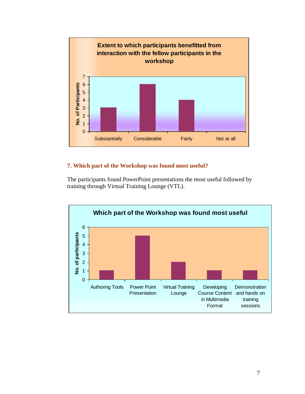

## **7. Which part of the Workshop was found most useful?**

The participants found PowerPoint presentations the most useful followed by training through Virtual Training Lounge (VTL).

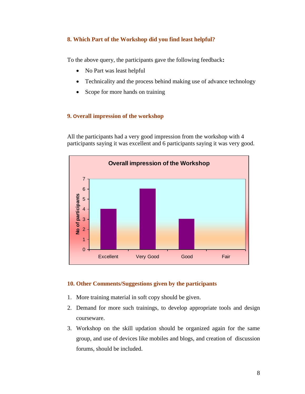### **8. Which Part of the Workshop did you find least helpful?**

To the above query, the participants gave the following feedback**:**

- No Part was least helpful
- Technicality and the process behind making use of advance technology
- Scope for more hands on training

### **9. Overall impression of the workshop**

All the participants had a very good impression from the workshop with 4 participants saying it was excellent and 6 participants saying it was very good.



### **10. Other Comments/Suggestions given by the participants**

- 1. More training material in soft copy should be given.
- 2. Demand for more such trainings, to develop appropriate tools and design courseware.
- 3. Workshop on the skill updation should be organized again for the same group, and use of devices like mobiles and blogs, and creation of discussion forums, should be included.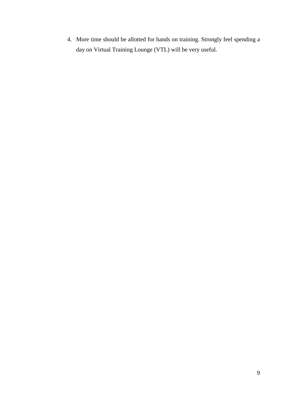4. More time should be allotted for hands on training. Strongly feel spending a day on Virtual Training Lounge (VTL) will be very useful.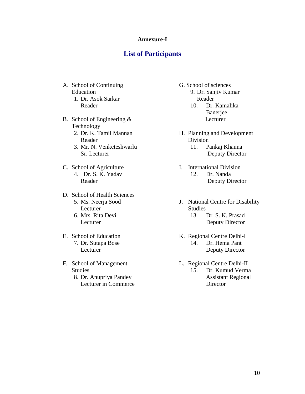#### **Annexure-I**

## **List of Participants**

- A. School of Continuing Education 1. Dr. Asok Sarkar
	- Reader
- B. School of Engineering & Technology
	- 2. Dr. K. Tamil Mannan Reader
	- 3. Mr. N. Venketeshwarlu Sr. Lecturer
- C. School of Agriculture 4. Dr. S. K. Yadav Reader
- D. School of Health Sciences 5. Ms. Neerja Sood Lecturer
	- 6. Mrs. Rita Devi Lecturer
- E. School of Education 7. Dr. Sutapa Bose Lecturer
- F. School of Management Studies
	- 8. Dr. Anupriya Pandey Lecturer in Commerce
- G. School of sciences 9. Dr. Sanjiv Kumar Reader
	- 10. Dr. Kamalika Banerjee Lecturer
- H. Planning and Development Division
	- 11. Pankaj Khanna Deputy Director
- I. International Division 12. Dr. Nanda Deputy Director
- J. National Centre for Disability Studies
	- 13. Dr. S. K. Prasad Deputy Director
- K. Regional Centre Delhi-I 14. Dr. Hema Pant Deputy Director
- L. Regional Centre Delhi-II
	- 15. Dr. Kumud Verma Assistant Regional **Director**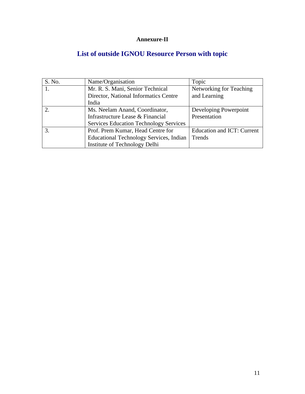# **Annexure-II**

# **List of outside IGNOU Resource Person with topic**

| S. No. | Name/Organisation                              | Topic                      |
|--------|------------------------------------------------|----------------------------|
|        | Mr. R. S. Mani, Senior Technical               | Networking for Teaching    |
|        | Director, National Informatics Centre          | and Learning               |
|        | India                                          |                            |
|        | Ms. Neelam Anand, Coordinator,                 | Developing Powerpoint      |
|        | Infrastructure Lease & Financial               | Presentation               |
|        | <b>Services Education Technology Services</b>  |                            |
|        | Prof. Prem Kumar, Head Centre for              | Education and ICT: Current |
|        | <b>Educational Technology Services, Indian</b> | Trends                     |
|        | Institute of Technology Delhi                  |                            |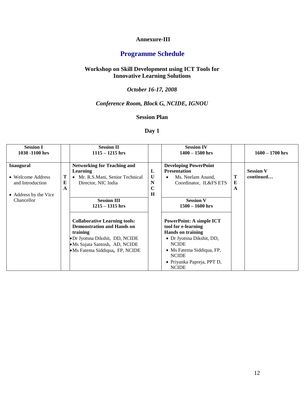#### **Annexure-III**

# **Programme Schedule**

#### **Workshop on Skill Development using ICT Tools for Innovative Learning Solutions**

# *October 16-17, 2008*

## *Conference Room, Block G, NCIDE, IGNOU*

#### **Session Plan**

## **Day 1**

| <b>Session I</b><br>1030 -1100 hrs                                                               |  | <b>Session II</b><br>$1115 - 1215$ hrs                                                                                                                                                                            |                                            | <b>Session IV</b><br>$1400 - 1500$ hrs                                                                                                                                                                                                          |             | $1600 - 1700$ hrs             |
|--------------------------------------------------------------------------------------------------|--|-------------------------------------------------------------------------------------------------------------------------------------------------------------------------------------------------------------------|--------------------------------------------|-------------------------------------------------------------------------------------------------------------------------------------------------------------------------------------------------------------------------------------------------|-------------|-------------------------------|
| <b>Inaugural</b><br>• Welcome Address<br>and Introduction<br>• Address by the Vice<br>Chancellor |  | <b>Networking for Teaching and</b><br>Learning<br>• Mr. R.S.Mani, Senior Technical<br>Director, NIC India<br><b>Session III</b>                                                                                   | L<br>$\mathbf{U}$<br>N<br>$\mathbf C$<br>H | <b>Developing PowerPoint</b><br><b>Presentation</b><br>Ms. Neelam Anand,<br>Coordinator, IL&FS ETS<br><b>Session V</b>                                                                                                                          | Т<br>E<br>A | <b>Session V</b><br>continued |
|                                                                                                  |  | $1215 - 1315$ hrs<br><b>Collaborative Learning tools:</b><br><b>Demonstration and Hands on</b><br>training<br>• Dr Jyotsna Dikshit, DD, NCIDE<br>·Ms Sujata Santosh, AD, NCIDE<br>• Ms Fatema Siddiqua, FP, NCIDE |                                            | $1500 - 1600$ hrs<br><b>PowerPoint: A simple ICT</b><br>tool for e-learning<br><b>Hands on training</b><br>• Dr Jyotsna Dikshit, DD,<br><b>NCIDE</b><br>• Ms Fatema Siddiqua, FP,<br><b>NCIDE</b><br>• Priyanka Papreja, PPT D,<br><b>NCIDE</b> |             |                               |